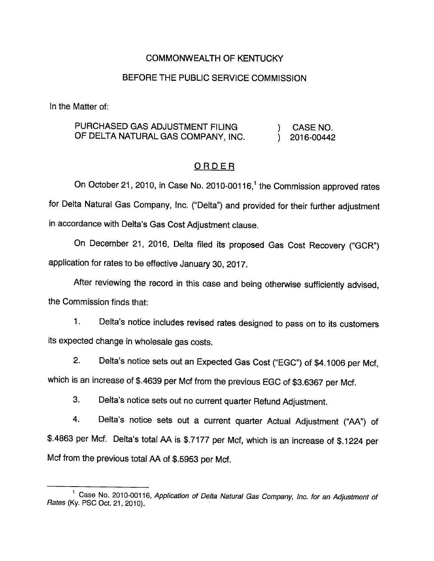### COMMONWEALTH OF KENTUCKY

### BEFORE THE PUBLIC SERVICE COMMISSION

In the Matter of:

### PURCHASED GAS ADJUSTMENT FILING  $\qquad \qquad$  ) CASE NO. OF DELTA NATURAL GAS COMPANY, INC.  $\vert$  2016-00442

#### ORDER

On October 21, 2010, in Case No. 2010-00116,<sup>1</sup> the Commission approved rates for Delta Natural Gas Company, Inc. ("Delta") and provided for their further adjustment in accordance with Delta's Gas Cost Adjustment clause.

On December 21, 2016, Delta filed its proposed Gas Cost Recovery ("GCR") application for rates to be effective January 30, 2017.

After reviewing the record in this case and being otherwise sufficiently advised, the Commission finds that:

1. Delta's notice includes revised rates designed to pass on to its customers its expected change in wholesale gas costs.

2. Delta's notice sets out an Expected Gas Cost ("EGC") of \$4.1006 per Mcf, which is an increase of \$.4639 per Mcf from the previous EGC of \$3.6367 per Mcf.

3. Delta's notice sets out no current quarter Refund Adjustment.

4. Delta's notice sets out a current quarter Actual Adjustment ("AA") of \$.4863 per Mcf. Delta's total AA is \$.7177 per Mcf, which is an increase of \$.1224 per Mcf from the previous total AA of \$.5953 per Mcf.

<sup>&</sup>lt;sup>1</sup> Case No. 2010-00116, Application of Delta Natural Gas Company, Inc. for an Adjustment of Rates (Ky. PSC Oct. 21, 2010).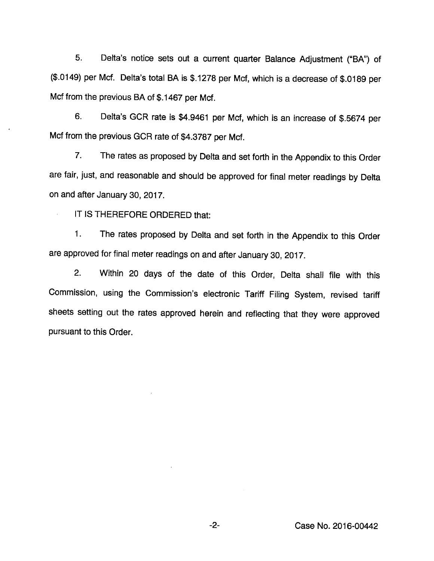5. Delta's notice sets out a current quarter Balance Adjustment ("BA") of (\$.0149) per Met. Delta's total BA is \$.1278 per Met, which is a decrease of \$.0189 per Mcf from the previous BA of \$.1467 per Mcf.

6. Delta's GCR rate is \$4.9461 per Mcf, which is an increase of \$.5674 per Mcf from the previous GCR rate of \$4.3787 per Mcf.

7. The rates as proposed by Delta and set forth in the Appendix to this Order are fair, just, and reasonable and should be approved for final meter readings by Delta on and after January 30, 2017.

IT IS THEREFORE ORDERED that:

1. The rates proposed by Delta and set forth in the Appendix to this Order are approved for final meter readings on and after January 30, 2017.

2. Within 20 days of the date of this Order, Delta shall file with this Commission, using the Commission's electronic Tariff Filing System, revised tariff sheets setting out the rates approved herein and reflecting that they were approved pursuant to this Order.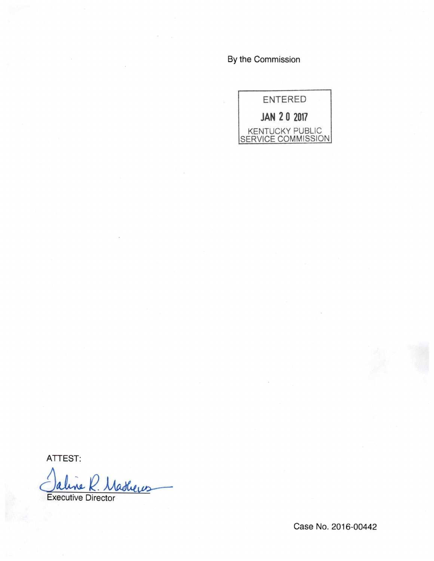By the Commission



ATTEST:

<u>Nathers</u> une a

Executive Director

Case No. 2016-00442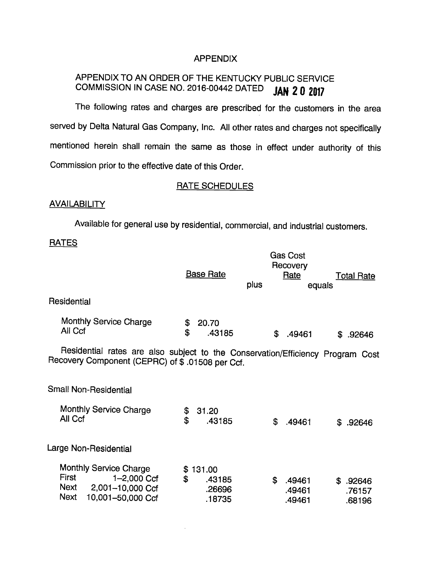### APPENDIX

## APPENDIX TO AN ORDER OF THE KENTUCKY PUBLIC SERVICE COMMISSION IN CASE NO. 2016-00442 DATED  $JAN$  20 2017

The following rates and charges are prescribed for the customers in the area served by Delta Natural Gas Company, Inc. All other rates and charges not specifically mentioned herein shall remain the same as those in effect under authority of this Commission prior to the effective date of this Order.

### RATE SCHEDULES

### **AVAILABILITY**

Available for general use by residential, commercial, and industrial customers.

### **RATES**

|                                                                                                                                   | <b>Base Rate</b>                                 | plus | <b>Gas Cost</b><br>Recovery<br>Rate<br>equals | <b>Total Rate</b>                |
|-----------------------------------------------------------------------------------------------------------------------------------|--------------------------------------------------|------|-----------------------------------------------|----------------------------------|
| Residential                                                                                                                       |                                                  |      |                                               |                                  |
| Monthly Service Charge<br>All Ccf                                                                                                 | \$<br>20.70<br>\$<br>.43185                      | \$   | .49461                                        | .92646<br>S.                     |
| Residential rates are also subject to the Conservation/Efficiency Program Cost<br>Recovery Component (CEPRC) of \$.01508 per Ccf. |                                                  |      |                                               |                                  |
| Small Non-Residential                                                                                                             |                                                  |      |                                               |                                  |
| Monthly Service Charge<br>All Ccf                                                                                                 | \$<br>31.20<br>$\mathbf{\hat{z}}$<br>.43185      | \$   | .49461                                        | .92646<br>\$                     |
| Large Non-Residential                                                                                                             |                                                  |      |                                               |                                  |
| <b>Monthly Service Charge</b><br>First<br>1-2,000 Ccf<br>Next<br>2,001-10,000 Ccf<br><b>Next</b><br>10,001-50,000 Ccf             | 131.00<br>\$<br>\$<br>.43185<br>.26696<br>.18735 | \$   | .49461<br>.49461<br>.49461                    | \$<br>.92646<br>.76157<br>.68196 |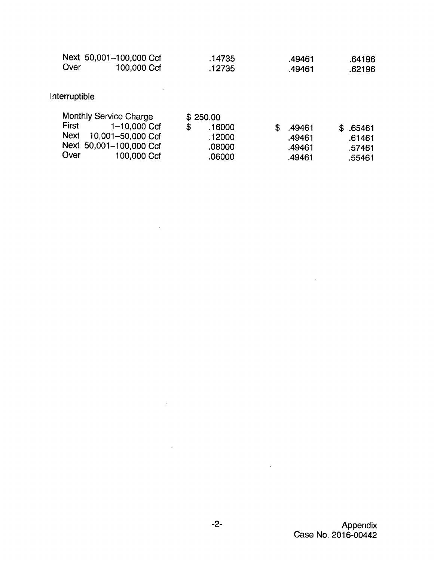|      | Next 50,001-100,000 Ccf | .14735 | .49461 | .64196 |
|------|-------------------------|--------|--------|--------|
| Over | 100,000 Ccf             | .12735 | .49461 | .62196 |

 $\sim$   $\sim$ 

 $\sim$ 

 $\sim 10^7$ 

 $\sim 10^{-10}$ 

# Interruptible

|       | Monthly Service Charge  | \$250.00     |        |          |
|-------|-------------------------|--------------|--------|----------|
| First | 1-10,000 Ccf            | \$<br>.16000 | .49461 | \$.65461 |
|       | Next 10,001-50,000 Ccf  | .12000       | .49461 | .61461   |
|       | Next 50,001-100,000 Ccf | .08000       | .49461 | .57461   |
| Over  | 100,000 Ccf             | .06000       | .49461 | .55461   |

 $\sim 10^{-11}$ 

 $\sim 10$